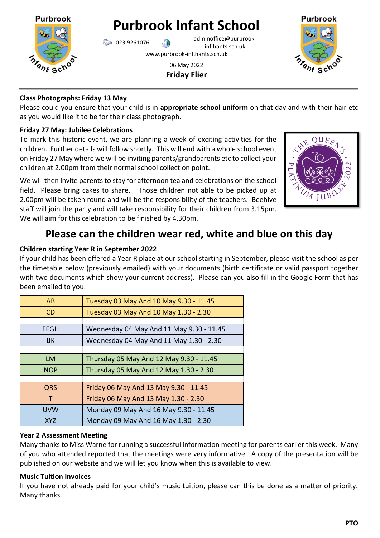

**Purbrook Infant School**

023 92610761 adminoffice@purbrookinf.hants.sch.uk www.purbrook-inf.hants.sch.uk

> 06 May 2022 **Friday Flier**



## **Class Photographs: Friday 13 May**

Please could you ensure that your child is in **appropriate school uniform** on that day and with their hair etc as you would like it to be for their class photograph.

## **Friday 27 May: Jubilee Celebrations**

To mark this historic event, we are planning a week of exciting activities for the children. Further details will follow shortly. This will end with a whole school event on Friday 27 May where we will be inviting parents/grandparents etc to collect your children at 2.00pm from their normal school collection point.

We will then invite parents to stay for afternoon tea and celebrations on the school field. Please bring cakes to share. Those children not able to be picked up at 2.00pm will be taken round and will be the responsibility of the teachers. Beehive staff will join the party and will take responsibility for their children from 3.15pm. We will aim for this celebration to be finished by 4.30pm.



# **Please can the children wear red, white and blue on this day**

# **Children starting Year R in September 2022**

If your child has been offered a Year R place at our school starting in September, please visit the school as per the timetable below (previously emailed) with your documents (birth certificate or valid passport together with two documents which show your current address). Please can you also fill in the Google Form that has been emailed to you.

| AB          | Tuesday 03 May And 10 May 9.30 - 11.45   |
|-------------|------------------------------------------|
| CD          | Tuesday 03 May And 10 May 1.30 - 2.30    |
|             |                                          |
| <b>EFGH</b> | Wednesday 04 May And 11 May 9.30 - 11.45 |
| <b>IJK</b>  | Wednesday 04 May And 11 May 1.30 - 2.30  |
|             |                                          |
| <b>LM</b>   | Thursday 05 May And 12 May 9.30 - 11.45  |
| <b>NOP</b>  | Thursday 05 May And 12 May 1.30 - 2.30   |
|             |                                          |
| <b>QRS</b>  | Friday 06 May And 13 May 9.30 - 11.45    |
| т           | Friday 06 May And 13 May 1.30 - 2.30     |
| <b>UVW</b>  | Monday 09 May And 16 May 9.30 - 11.45    |
| <b>XYZ</b>  | Monday 09 May And 16 May 1.30 - 2.30     |

# **Year 2 Assessment Meeting**

Many thanks to Miss Warne for running a successful information meeting for parents earlier this week. Many of you who attended reported that the meetings were very informative. A copy of the presentation will be published on our website and we will let you know when this is available to view.

# **Music Tuition Invoices**

If you have not already paid for your child's music tuition, please can this be done as a matter of priority. Many thanks.